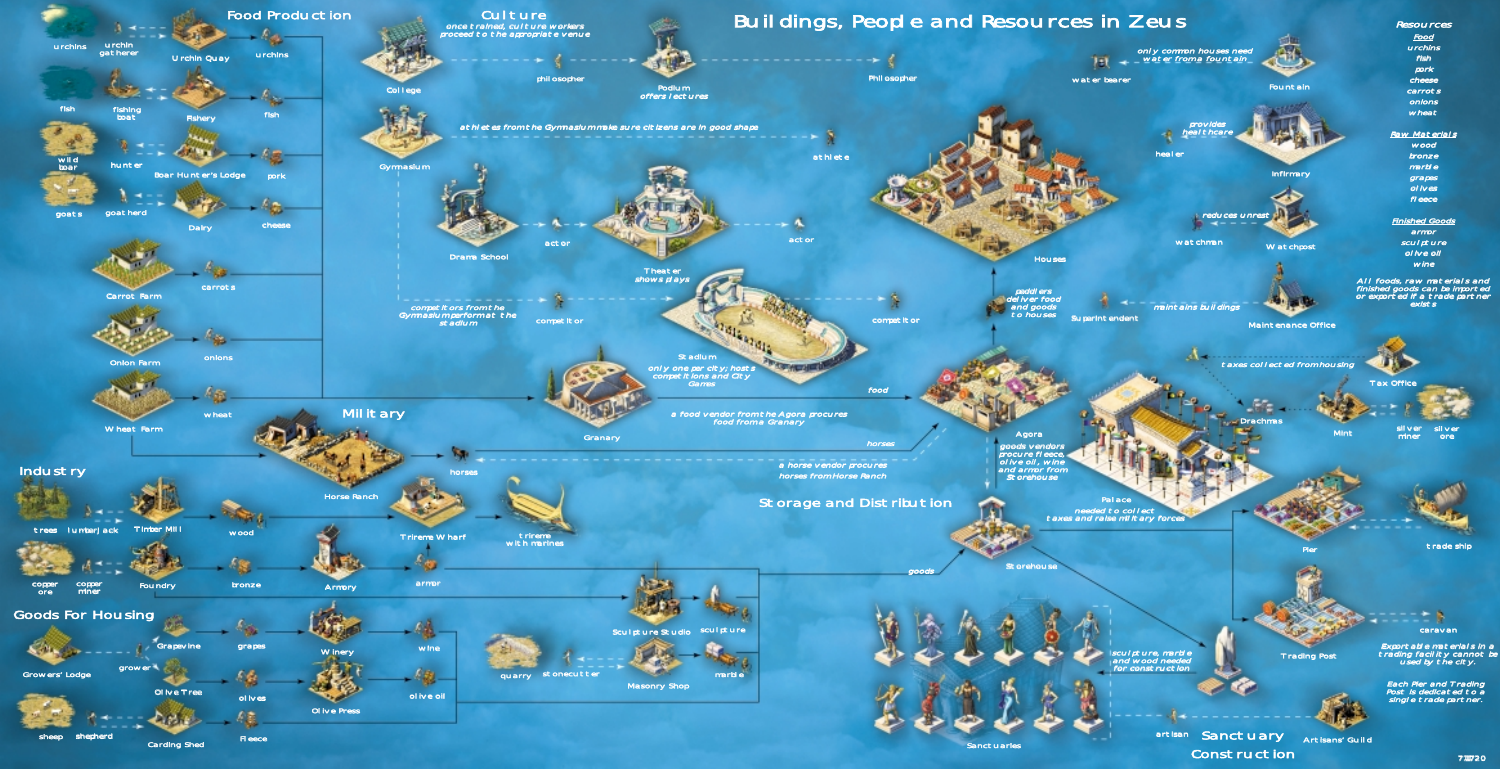Construction